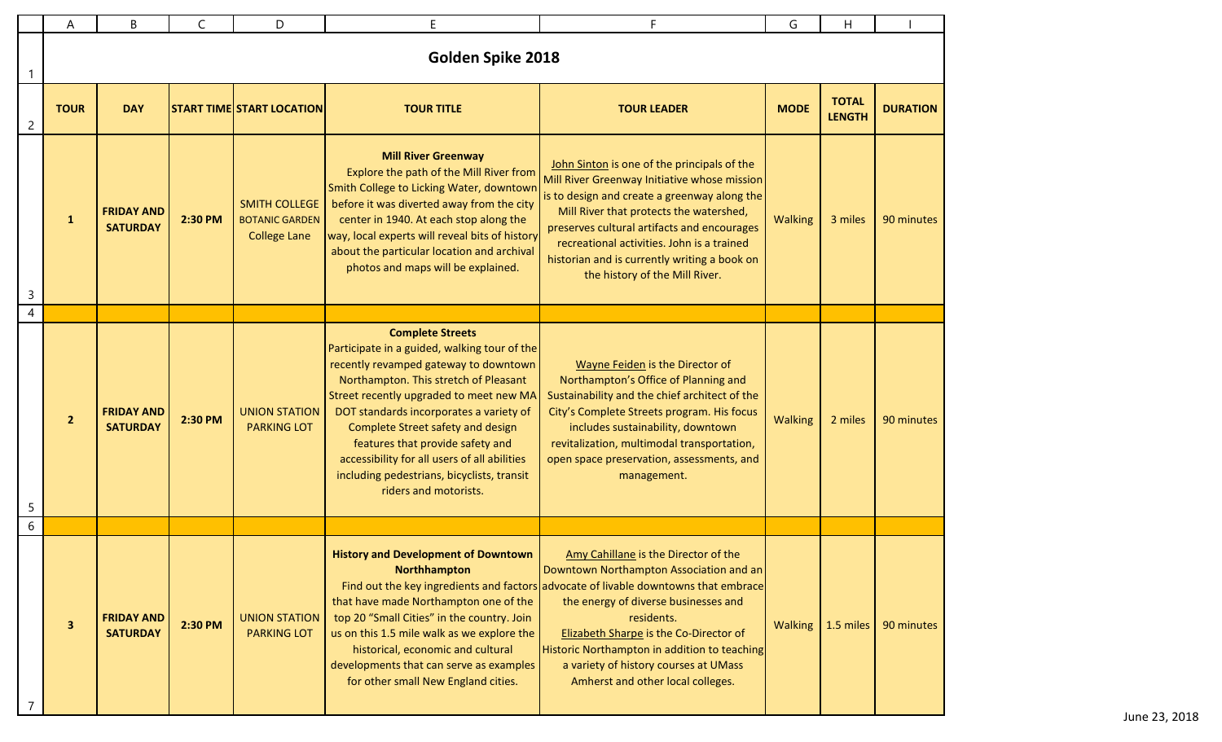|                | Α              | В                                    | C       | D                                                                    | E                                                                                                                                                                                                                                                                                                                                                                                                                                               | F.                                                                                                                                                                                                                                                                                                                                                                                                   | G              | Н                             |                 |  |  |
|----------------|----------------|--------------------------------------|---------|----------------------------------------------------------------------|-------------------------------------------------------------------------------------------------------------------------------------------------------------------------------------------------------------------------------------------------------------------------------------------------------------------------------------------------------------------------------------------------------------------------------------------------|------------------------------------------------------------------------------------------------------------------------------------------------------------------------------------------------------------------------------------------------------------------------------------------------------------------------------------------------------------------------------------------------------|----------------|-------------------------------|-----------------|--|--|
|                |                | Golden Spike 2018                    |         |                                                                      |                                                                                                                                                                                                                                                                                                                                                                                                                                                 |                                                                                                                                                                                                                                                                                                                                                                                                      |                |                               |                 |  |  |
| $\overline{c}$ | <b>TOUR</b>    | <b>DAY</b>                           |         | <b>START TIME START LOCATION</b>                                     | <b>TOUR TITLE</b>                                                                                                                                                                                                                                                                                                                                                                                                                               | <b>TOUR LEADER</b>                                                                                                                                                                                                                                                                                                                                                                                   | <b>MODE</b>    | <b>TOTAL</b><br><b>LENGTH</b> | <b>DURATION</b> |  |  |
| 3              | $\mathbf{1}$   | <b>FRIDAY AND</b><br><b>SATURDAY</b> | 2:30 PM | <b>SMITH COLLEGE</b><br><b>BOTANIC GARDEN</b><br><b>College Lane</b> | <b>Mill River Greenway</b><br>Explore the path of the Mill River from<br>Smith College to Licking Water, downtown<br>before it was diverted away from the city<br>center in 1940. At each stop along the<br>way, local experts will reveal bits of history<br>about the particular location and archival<br>photos and maps will be explained.                                                                                                  | John Sinton is one of the principals of the<br>Mill River Greenway Initiative whose mission<br>is to design and create a greenway along the<br>Mill River that protects the watershed,<br>preserves cultural artifacts and encourages<br>recreational activities. John is a trained<br>historian and is currently writing a book on<br>the history of the Mill River.                                | Walking        | 3 miles                       | 90 minutes      |  |  |
| 4              |                |                                      |         |                                                                      |                                                                                                                                                                                                                                                                                                                                                                                                                                                 |                                                                                                                                                                                                                                                                                                                                                                                                      |                |                               |                 |  |  |
| 5              | $\overline{2}$ | <b>FRIDAY AND</b><br><b>SATURDAY</b> | 2:30 PM | <b>UNION STATION</b><br><b>PARKING LOT</b>                           | <b>Complete Streets</b><br>Participate in a guided, walking tour of the<br>recently revamped gateway to downtown<br>Northampton. This stretch of Pleasant<br>Street recently upgraded to meet new MA<br>DOT standards incorporates a variety of<br>Complete Street safety and design<br>features that provide safety and<br>accessibility for all users of all abilities<br>including pedestrians, bicyclists, transit<br>riders and motorists. | Wayne Feiden is the Director of<br>Northampton's Office of Planning and<br>Sustainability and the chief architect of the<br>City's Complete Streets program. His focus<br>includes sustainability, downtown<br>revitalization, multimodal transportation,<br>open space preservation, assessments, and<br>management.                                                                                | Walking        | 2 miles                       | 90 minutes      |  |  |
| 6              |                |                                      |         |                                                                      |                                                                                                                                                                                                                                                                                                                                                                                                                                                 |                                                                                                                                                                                                                                                                                                                                                                                                      |                |                               |                 |  |  |
|                | 3              | <b>FRIDAY AND</b><br><b>SATURDAY</b> | 2:30 PM | <b>UNION STATION</b><br><b>PARKING LOT</b>                           | History and Development of Downtown<br><b>Northhampton</b><br>that have made Northampton one of the<br>top 20 "Small Cities" in the country. Join<br>us on this 1.5 mile walk as we explore the<br>historical, economic and cultural<br>developments that can serve as examples<br>for other small New England cities.                                                                                                                          | Amy Cahillane is the Director of the<br>Downtown Northampton Association and an<br>Find out the key ingredients and factors advocate of livable downtowns that embrace<br>the energy of diverse businesses and<br>residents.<br>Elizabeth Sharpe is the Co-Director of<br>Historic Northampton in addition to teaching<br>a variety of history courses at UMass<br>Amherst and other local colleges. | <b>Walking</b> | 1.5 miles                     | 90 minutes      |  |  |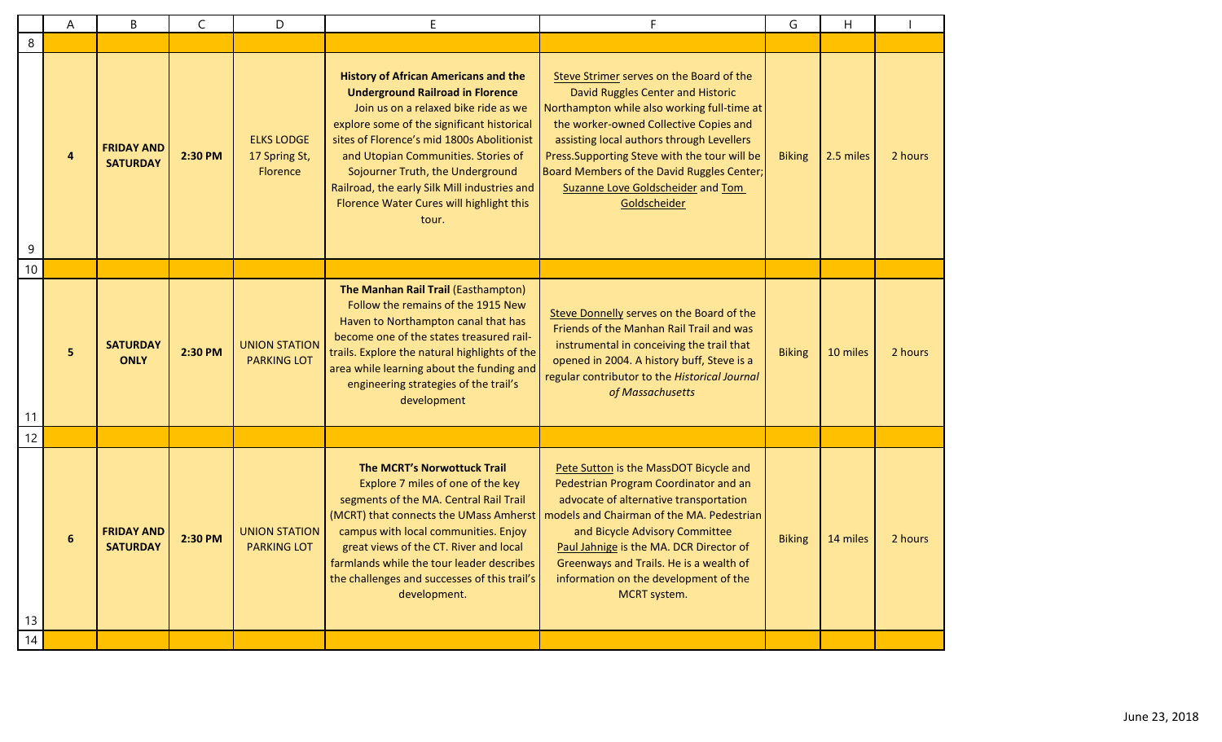|    | A | B                                    | $\mathsf{C}$ | D                                                     | E                                                                                                                                                                                                                                                                                                                                                                                                          | F                                                                                                                                                                                                                                                                                                                                                                              | G             | Н         |         |
|----|---|--------------------------------------|--------------|-------------------------------------------------------|------------------------------------------------------------------------------------------------------------------------------------------------------------------------------------------------------------------------------------------------------------------------------------------------------------------------------------------------------------------------------------------------------------|--------------------------------------------------------------------------------------------------------------------------------------------------------------------------------------------------------------------------------------------------------------------------------------------------------------------------------------------------------------------------------|---------------|-----------|---------|
| 8  |   |                                      |              |                                                       |                                                                                                                                                                                                                                                                                                                                                                                                            |                                                                                                                                                                                                                                                                                                                                                                                |               |           |         |
| 9  | 4 | <b>FRIDAY AND</b><br><b>SATURDAY</b> | 2:30 PM      | <b>ELKS LODGE</b><br>17 Spring St,<br><b>Florence</b> | <b>History of African Americans and the</b><br><b>Underground Railroad in Florence</b><br>Join us on a relaxed bike ride as we<br>explore some of the significant historical<br>sites of Florence's mid 1800s Abolitionist<br>and Utopian Communities. Stories of<br>Sojourner Truth, the Underground<br>Railroad, the early Silk Mill industries and<br>Florence Water Cures will highlight this<br>tour. | Steve Strimer serves on the Board of the<br>David Ruggles Center and Historic<br>Northampton while also working full-time at<br>the worker-owned Collective Copies and<br>assisting local authors through Levellers<br>Press. Supporting Steve with the tour will be<br>Board Members of the David Ruggles Center;<br><b>Suzanne Love Goldscheider and Tom</b><br>Goldscheider | <b>Biking</b> | 2.5 miles | 2 hours |
| 10 |   |                                      |              |                                                       |                                                                                                                                                                                                                                                                                                                                                                                                            |                                                                                                                                                                                                                                                                                                                                                                                |               |           |         |
| 11 | 5 | <b>SATURDAY</b><br><b>ONLY</b>       | 2:30 PM      | <b>UNION STATION</b><br><b>PARKING LOT</b>            | The Manhan Rail Trail (Easthampton)<br>Follow the remains of the 1915 New<br>Haven to Northampton canal that has<br>become one of the states treasured rail-<br>trails. Explore the natural highlights of the<br>area while learning about the funding and<br>engineering strategies of the trail's<br>development                                                                                         | Steve Donnelly serves on the Board of the<br>Friends of the Manhan Rail Trail and was<br>instrumental in conceiving the trail that<br>opened in 2004. A history buff, Steve is a<br>regular contributor to the Historical Journal<br>of Massachusetts                                                                                                                          | <b>Biking</b> | 10 miles  | 2 hours |
| 12 |   |                                      |              |                                                       |                                                                                                                                                                                                                                                                                                                                                                                                            |                                                                                                                                                                                                                                                                                                                                                                                |               |           |         |
| 13 | 6 | <b>FRIDAY AND</b><br><b>SATURDAY</b> | 2:30 PM      | <b>UNION STATION</b><br><b>PARKING LOT</b>            | <b>The MCRT's Norwottuck Trail</b><br>Explore 7 miles of one of the key<br>segments of the MA. Central Rail Trail<br>(MCRT) that connects the UMass Amherst<br>campus with local communities. Enjoy<br>great views of the CT. River and local<br>farmlands while the tour leader describes<br>the challenges and successes of this trail's<br>development.                                                 | Pete Sutton is the MassDOT Bicycle and<br>Pedestrian Program Coordinator and an<br>advocate of alternative transportation<br>models and Chairman of the MA. Pedestrian<br>and Bicycle Advisory Committee<br>Paul Jahnige is the MA. DCR Director of<br>Greenways and Trails. He is a wealth of<br>information on the development of the<br>MCRT system.                        | <b>Biking</b> | 14 miles  | 2 hours |
| 14 |   |                                      |              |                                                       |                                                                                                                                                                                                                                                                                                                                                                                                            |                                                                                                                                                                                                                                                                                                                                                                                |               |           |         |